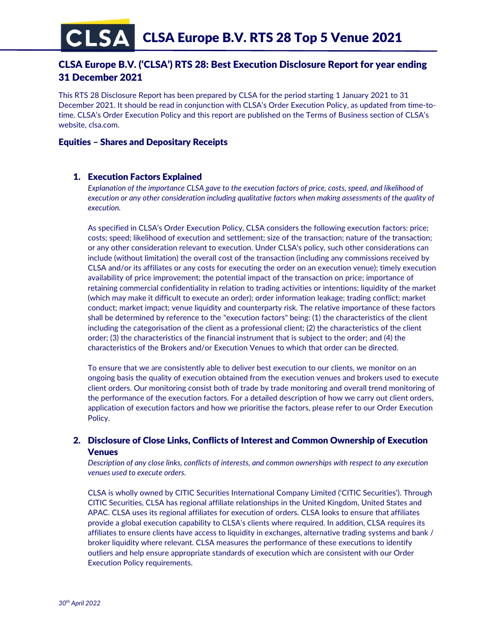# CLSA Europe B.V. ('CLSA') RTS 28: Best Execution Disclosure Report for year ending 31 December 2021

This RTS 28 Disclosure Report has been prepared by CLSA for the period starting 1 January 2021 to 31 December 2021. It should be read in conjunction with CLSA's Order Execution Policy, as updated from time-totime. CLSA's Order Execution Policy and this report are published on the Terms of Business section of CLSA's website, clsa.com.

# Equities – Shares and Depositary Receipts

# 1. Execution Factors Explained

*Explanation of the importance CLSA gave to the execution factors of price, costs, speed, and likelihood of execution or any other consideration including qualitative factors when making assessments of the quality of execution.* 

As specified in CLSA's Order Execution Policy, CLSA considers the following execution factors: price; costs; speed; likelihood of execution and settlement; size of the transaction; nature of the transaction; or any other consideration relevant to execution. Under CLSA's policy, such other considerations can include (without limitation) the overall cost of the transaction (including any commissions received by CLSA and/or its affiliates or any costs for executing the order on an execution venue); timely execution availability of price improvement; the potential impact of the transaction on price; importance of retaining commercial confidentiality in relation to trading activities or intentions; liquidity of the market (which may make it difficult to execute an order); order information leakage; trading conflict; market conduct; market impact; venue liquidity and counterparty risk. The relative importance of these factors shall be determined by reference to the "execution factors" being: (1) the characteristics of the client including the categorisation of the client as a professional client; (2) the characteristics of the client order; (3) the characteristics of the financial instrument that is subject to the order; and (4) the characteristics of the Brokers and/or Execution Venues to which that order can be directed.

To ensure that we are consistently able to deliver best execution to our clients, we monitor on an ongoing basis the quality of execution obtained from the execution venues and brokers used to execute client orders. Our monitoring consist both of trade by trade monitoring and overall trend monitoring of the performance of the execution factors. For a detailed description of how we carry out client orders, application of execution factors and how we prioritise the factors, please refer to our Order Execution Policy.

# 2. Disclosure of Close Links, Conflicts of Interest and Common Ownership of Execution Venues

*Description of any close links, conflicts of interests, and common ownerships with respect to any execution venues used to execute orders.*

CLSA is wholly owned by CITIC Securities International Company Limited ('CITIC Securities'). Through CITIC Securities, CLSA has regional affiliate relationships in the United Kingdom, United States and APAC. CLSA uses its regional affiliates for execution of orders. CLSA looks to ensure that affiliates provide a global execution capability to CLSA's clients where required. In addition, CLSA requires its affiliates to ensure clients have access to liquidity in exchanges, alternative trading systems and bank / broker liquidity where relevant. CLSA measures the performance of these executions to identify outliers and help ensure appropriate standards of execution which are consistent with our Order Execution Policy requirements.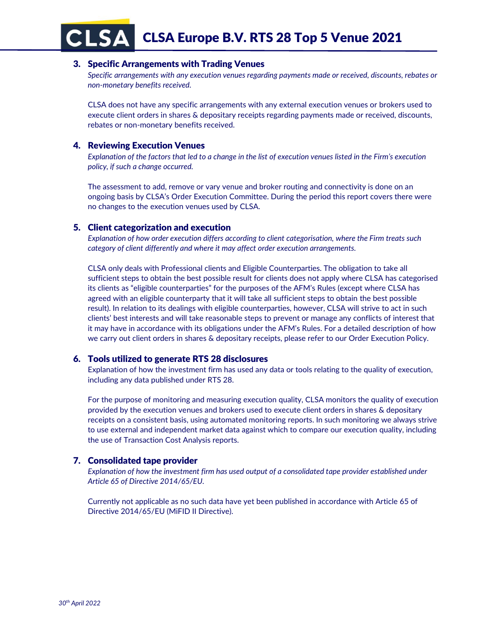CLSA CLSA Europe B.V. RTS 28 Top 5 Venue 2021

# 3. Specific Arrangements with Trading Venues

*Specific arrangements with any execution venues regarding payments made or received, discounts, rebates or non-monetary benefits received.*

CLSA does not have any specific arrangements with any external execution venues or brokers used to execute client orders in shares & depositary receipts regarding payments made or received, discounts, rebates or non-monetary benefits received.

# 4. Reviewing Execution Venues

*Explanation of the factors that led to a change in the list of execution venues listed in the Firm's execution policy, if such a change occurred.*

The assessment to add, remove or vary venue and broker routing and connectivity is done on an ongoing basis by CLSA's Order Execution Committee. During the period this report covers there were no changes to the execution venues used by CLSA.

### 5. Client categorization and execution

*Explanation of how order execution differs according to client categorisation, where the Firm treats such category of client differently and where it may affect order execution arrangements.*

CLSA only deals with Professional clients and Eligible Counterparties. The obligation to take all sufficient steps to obtain the best possible result for clients does not apply where CLSA has categorised its clients as "eligible counterparties" for the purposes of the AFM's Rules (except where CLSA has agreed with an eligible counterparty that it will take all sufficient steps to obtain the best possible result). In relation to its dealings with eligible counterparties, however, CLSA will strive to act in such clients' best interests and will take reasonable steps to prevent or manage any conflicts of interest that it may have in accordance with its obligations under the AFM's Rules. For a detailed description of how we carry out client orders in shares & depositary receipts, please refer to our Order Execution Policy.

### 6. Tools utilized to generate RTS 28 disclosures

Explanation of how the investment firm has used any data or tools relating to the quality of execution, including any data published under RTS 28.

For the purpose of monitoring and measuring execution quality, CLSA monitors the quality of execution provided by the execution venues and brokers used to execute client orders in shares & depositary receipts on a consistent basis, using automated monitoring reports. In such monitoring we always strive to use external and independent market data against which to compare our execution quality, including the use of Transaction Cost Analysis reports.

# 7. Consolidated tape provider

*Explanation of how the investment firm has used output of a consolidated tape provider established under Article 65 of Directive 2014/65/EU.*

Currently not applicable as no such data have yet been published in accordance with Article 65 of Directive 2014/65/EU (MiFID II Directive).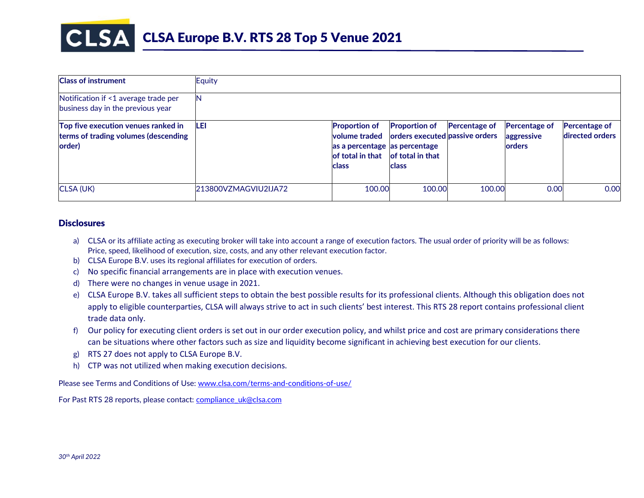

| <b>Class of instrument</b>                                                            | Equity               |                                                                                                            |                                                                                     |                      |                                                      |                                         |
|---------------------------------------------------------------------------------------|----------------------|------------------------------------------------------------------------------------------------------------|-------------------------------------------------------------------------------------|----------------------|------------------------------------------------------|-----------------------------------------|
| Notification if <1 average trade per<br>business day in the previous year             | N                    |                                                                                                            |                                                                                     |                      |                                                      |                                         |
| Top five execution venues ranked in<br>terms of trading volumes (descending<br>order) | LEI                  | <b>Proportion of</b><br>volume traded<br>as a percentage as percentage<br>of total in that<br><b>class</b> | <b>Proportion of</b><br>orders executed passive orders<br>of total in that<br>class | <b>Percentage of</b> | <b>Percentage of</b><br>aggressive<br><b>lorders</b> | <b>Percentage of</b><br>directed orders |
| CLSA (UK)                                                                             | 213800VZMAGVIU2IJA72 | 100.00                                                                                                     | 100.00                                                                              | 100.00               | 0.00                                                 | 0.00                                    |

### **Disclosures**

- a) CLSA or its affiliate acting as executing broker will take into account a range of execution factors. The usual order of priority will be as follows: Price, speed, likelihood of execution, size, costs, and any other relevant execution factor.
- b) CLSA Europe B.V. uses its regional affiliates for execution of orders.
- c) No specific financial arrangements are in place with execution venues.
- d) There were no changes in venue usage in 2021.
- e) CLSA Europe B.V. takes all sufficient steps to obtain the best possible results for its professional clients. Although this obligation does not apply to eligible counterparties, CLSA will always strive to act in such clients' best interest. This RTS 28 report contains professional client trade data only.
- f) Our policy for executing client orders is set out in our order execution policy, and whilst price and cost are primary considerations there can be situations where other factors such as size and liquidity become significant in achieving best execution for our clients.
- g) RTS 27 does not apply to CLSA Europe B.V.
- h) CTP was not utilized when making execution decisions.

Please see Terms and Conditions of Use[: www.clsa.com/terms-and-conditions-of-use/](http://www.clsa.com/terms-and-conditions-of-use/)

For Past RTS 28 reports, please contact: [compliance\\_uk@clsa.com](mailto:compliance_uk@clsa.com)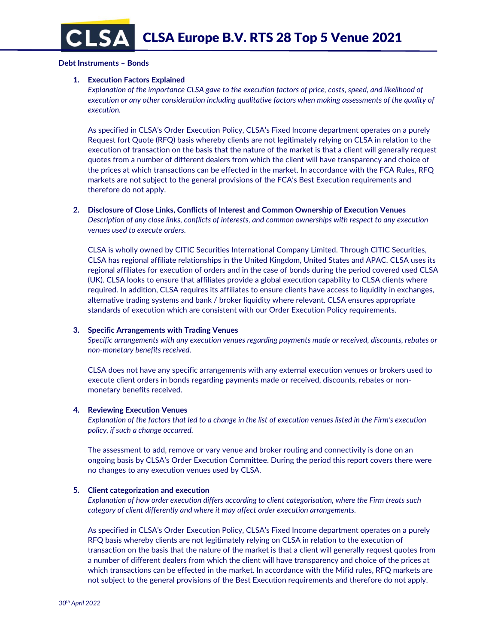#### **Debt Instruments – Bonds**

#### **1. Execution Factors Explained**

*Explanation of the importance CLSA gave to the execution factors of price, costs, speed, and likelihood of execution or any other consideration including qualitative factors when making assessments of the quality of execution.* 

As specified in CLSA's Order Execution Policy, CLSA's Fixed Income department operates on a purely Request fort Quote (RFQ) basis whereby clients are not legitimately relying on CLSA in relation to the execution of transaction on the basis that the nature of the market is that a client will generally request quotes from a number of different dealers from which the client will have transparency and choice of the prices at which transactions can be effected in the market. In accordance with the FCA Rules, RFQ markets are not subject to the general provisions of the FCA's Best Execution requirements and therefore do not apply.

### **2. Disclosure of Close Links, Conflicts of Interest and Common Ownership of Execution Venues**

*Description of any close links, conflicts of interests, and common ownerships with respect to any execution venues used to execute orders.*

CLSA is wholly owned by CITIC Securities International Company Limited. Through CITIC Securities, CLSA has regional affiliate relationships in the United Kingdom, United States and APAC. CLSA uses its regional affiliates for execution of orders and in the case of bonds during the period covered used CLSA (UK). CLSA looks to ensure that affiliates provide a global execution capability to CLSA clients where required. In addition, CLSA requires its affiliates to ensure clients have access to liquidity in exchanges, alternative trading systems and bank / broker liquidity where relevant. CLSA ensures appropriate standards of execution which are consistent with our Order Execution Policy requirements.

#### **3. Specific Arrangements with Trading Venues**

*Specific arrangements with any execution venues regarding payments made or received, discounts, rebates or non-monetary benefits received.*

CLSA does not have any specific arrangements with any external execution venues or brokers used to execute client orders in bonds regarding payments made or received, discounts, rebates or nonmonetary benefits received.

#### **4. Reviewing Execution Venues**

*Explanation of the factors that led to a change in the list of execution venues listed in the Firm's execution policy, if such a change occurred.*

The assessment to add, remove or vary venue and broker routing and connectivity is done on an ongoing basis by CLSA's Order Execution Committee. During the period this report covers there were no changes to any execution venues used by CLSA.

#### **5. Client categorization and execution**

*Explanation of how order execution differs according to client categorisation, where the Firm treats such category of client differently and where it may affect order execution arrangements.*

As specified in CLSA's Order Execution Policy, CLSA's Fixed Income department operates on a purely RFQ basis whereby clients are not legitimately relying on CLSA in relation to the execution of transaction on the basis that the nature of the market is that a client will generally request quotes from a number of different dealers from which the client will have transparency and choice of the prices at which transactions can be effected in the market. In accordance with the Mifid rules, RFQ markets are not subject to the general provisions of the Best Execution requirements and therefore do not apply.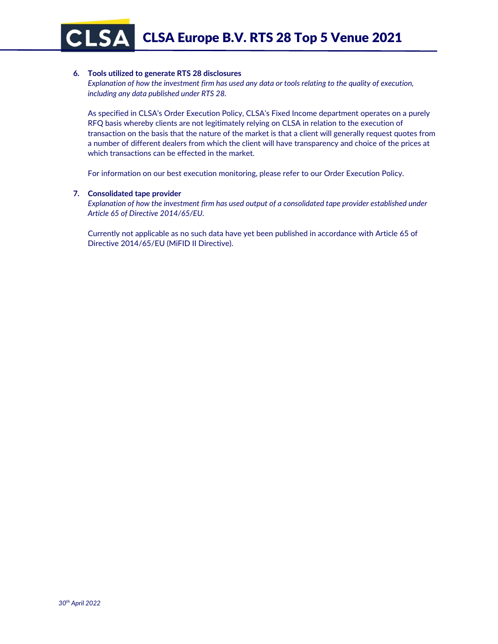CLSA Europe B.V. RTS 28 Top 5 Venue 2021

#### **6. Tools utilized to generate RTS 28 disclosures**

*Explanation of how the investment firm has used any data or tools relating to the quality of execution, including any data published under RTS 28.*

As specified in CLSA's Order Execution Policy, CLSA's Fixed Income department operates on a purely RFQ basis whereby clients are not legitimately relying on CLSA in relation to the execution of transaction on the basis that the nature of the market is that a client will generally request quotes from a number of different dealers from which the client will have transparency and choice of the prices at which transactions can be effected in the market.

For information on our best execution monitoring, please refer to our Order Execution Policy.

### **7. Consolidated tape provider**

**CLSA** 

*Explanation of how the investment firm has used output of a consolidated tape provider established under Article 65 of Directive 2014/65/EU.*

Currently not applicable as no such data have yet been published in accordance with Article 65 of Directive 2014/65/EU (MiFID II Directive).